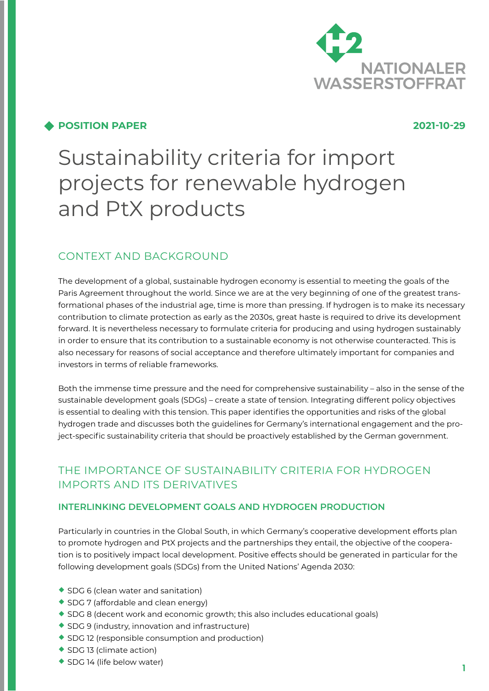

# **POSITION PAPER 2021-10-29**

# Sustainability criteria for import projects for renewable hydrogen and PtX products

# CONTEXT AND BACKGROUND

The development of a global, sustainable hydrogen economy is essential to meeting the goals of the Paris Agreement throughout the world. Since we are at the very beginning of one of the greatest transformational phases of the industrial age, time is more than pressing. If hydrogen is to make its necessary contribution to climate protection as early as the 2030s, great haste is required to drive its development forward. It is nevertheless necessary to formulate criteria for producing and using hydrogen sustainably in order to ensure that its contribution to a sustainable economy is not otherwise counteracted. This is also necessary for reasons of social acceptance and therefore ultimately important for companies and investors in terms of reliable frameworks.

Both the immense time pressure and the need for comprehensive sustainability – also in the sense of the sustainable development goals (SDGs) – create a state of tension. Integrating different policy objectives is essential to dealing with this tension. This paper identifies the opportunities and risks of the global hydrogen trade and discusses both the guidelines for Germany's international engagement and the project-specific sustainability criteria that should be proactively established by the German government.

# THE IMPORTANCE OF SUSTAINABILITY CRITERIA FOR HYDROGEN IMPORTS AND ITS DERIVATIVES

# **INTERLINKING DEVELOPMENT GOALS AND HYDROGEN PRODUCTION**

Particularly in countries in the Global South, in which Germany's cooperative development efforts plan to promote hydrogen and PtX projects and the partnerships they entail, the objective of the cooperation is to positively impact local development. Positive effects should be generated in particular for the following development goals (SDGs) from the United Nations' Agenda 2030:

- ◆ SDG 6 (clean water and sanitation)
- ◆ SDG 7 (affordable and clean energy)
- ¡ SDG 8 (decent work and economic growth; this also includes educational goals)
- $\triangle$  SDG 9 (industry, innovation and infrastructure)
- ◆ SDG 12 (responsible consumption and production)
- ◆ SDG 13 (climate action)
- ◆ SDG 14 (life below water)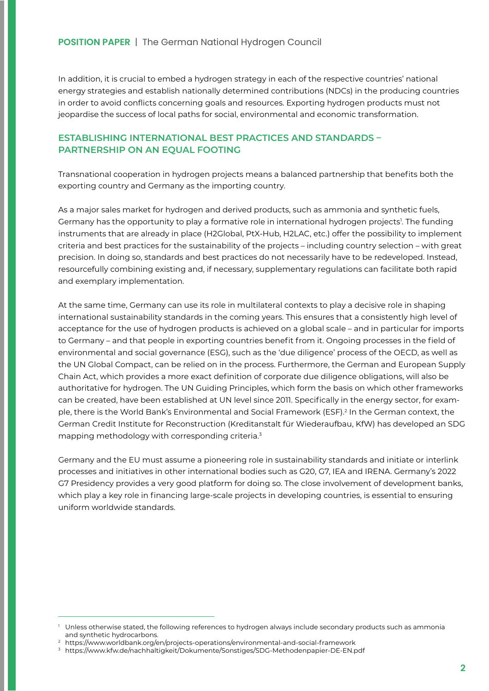In addition, it is crucial to embed a hydrogen strategy in each of the respective countries' national energy strategies and establish nationally determined contributions (NDCs) in the producing countries in order to avoid conflicts concerning goals and resources. Exporting hydrogen products must not jeopardise the success of local paths for social, environmental and economic transformation.

# **ESTABLISHING INTERNATIONAL BEST PRACTICES AND STANDARDS – PARTNERSHIP ON AN EQUAL FOOTING**

Transnational cooperation in hydrogen projects means a balanced partnership that benefits both the exporting country and Germany as the importing country.

As a major sales market for hydrogen and derived products, such as ammonia and synthetic fuels, Germany has the opportunity to play a formative role in international hydrogen projects<sup>1</sup>. The funding instruments that are already in place (H2Global, PtX-Hub, H2LAC, etc.) offer the possibility to implement criteria and best practices for the sustainability of the projects – including country selection – with great precision. In doing so, standards and best practices do not necessarily have to be redeveloped. Instead, resourcefully combining existing and, if necessary, supplementary regulations can facilitate both rapid and exemplary implementation.

At the same time, Germany can use its role in multilateral contexts to play a decisive role in shaping international sustainability standards in the coming years. This ensures that a consistently high level of acceptance for the use of hydrogen products is achieved on a global scale – and in particular for imports to Germany – and that people in exporting countries benefit from it. Ongoing processes in the field of environmental and social governance (ESG), such as the 'due diligence' process of the OECD, as well as the UN Global Compact, can be relied on in the process. Furthermore, the German and European Supply Chain Act, which provides a more exact definition of corporate due diligence obligations, will also be authoritative for hydrogen. The UN Guiding Principles, which form the basis on which other frameworks can be created, have been established at UN level since 2011. Specifically in the energy sector, for example, there is the World Bank's Environmental and Social Framework (ESF).<sup>2</sup> In the German context, the German Credit Institute for Reconstruction (Kreditanstalt für Wiederaufbau, KfW) has developed an SDG mapping methodology with corresponding criteria.3

Germany and the EU must assume a pioneering role in sustainability standards and initiate or interlink processes and initiatives in other international bodies such as G20, G7, IEA and IRENA. Germany's 2022 G7 Presidency provides a very good platform for doing so. The close involvement of development banks, which play a key role in financing large-scale projects in developing countries, is essential to ensuring uniform worldwide standards.

Unless otherwise stated, the following references to hydrogen always include secondary products such as ammonia and synthetic hydrocarbons.

<sup>2</sup> <https://www.worldbank.org/en/projects-operations/environmental-and-social-framework>

<sup>3</sup> <https://www.kfw.de/nachhaltigkeit/Dokumente/Sonstiges/SDG-Methodenpapier-DE-EN.pdf>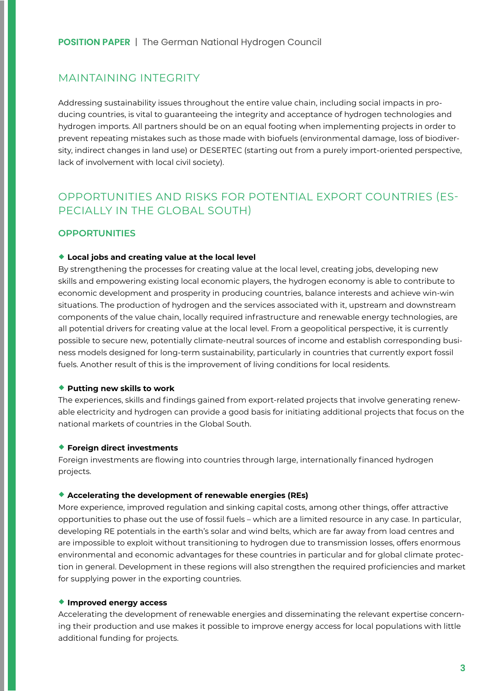# MAINTAINING INTEGRITY

Addressing sustainability issues throughout the entire value chain, including social impacts in producing countries, is vital to guaranteeing the integrity and acceptance of hydrogen technologies and hydrogen imports. All partners should be on an equal footing when implementing projects in order to prevent repeating mistakes such as those made with biofuels (environmental damage, loss of biodiversity, indirect changes in land use) or DESERTEC (starting out from a purely import-oriented perspective, lack of involvement with local civil society).

# OPPORTUNITIES AND RISKS FOR POTENTIAL EXPORT COUNTRIES (ES-PECIALLY IN THE GLOBAL SOUTH)

# **OPPORTUNITIES**

#### ◆ Local jobs and creating value at the local level

By strengthening the processes for creating value at the local level, creating jobs, developing new skills and empowering existing local economic players, the hydrogen economy is able to contribute to economic development and prosperity in producing countries, balance interests and achieve win-win situations. The production of hydrogen and the services associated with it, upstream and downstream components of the value chain, locally required infrastructure and renewable energy technologies, are all potential drivers for creating value at the local level. From a geopolitical perspective, it is currently possible to secure new, potentially climate-neutral sources of income and establish corresponding business models designed for long-term sustainability, particularly in countries that currently export fossil fuels. Another result of this is the improvement of living conditions for local residents.

#### **◆ Putting new skills to work**

The experiences, skills and findings gained from export-related projects that involve generating renewable electricity and hydrogen can provide a good basis for initiating additional projects that focus on the national markets of countries in the Global South.

#### ¡ **Foreign direct investments**

Foreign investments are flowing into countries through large, internationally financed hydrogen projects.

#### ¡ **Accelerating the development of renewable energies (REs)**

More experience, improved regulation and sinking capital costs, among other things, offer attractive opportunities to phase out the use of fossil fuels – which are a limited resource in any case. In particular, developing RE potentials in the earth's solar and wind belts, which are far away from load centres and are impossible to exploit without transitioning to hydrogen due to transmission losses, offers enormous environmental and economic advantages for these countries in particular and for global climate protection in general. Development in these regions will also strengthen the required proficiencies and market for supplying power in the exporting countries.

#### ¡ **Improved energy access**

Accelerating the development of renewable energies and disseminating the relevant expertise concerning their production and use makes it possible to improve energy access for local populations with little additional funding for projects.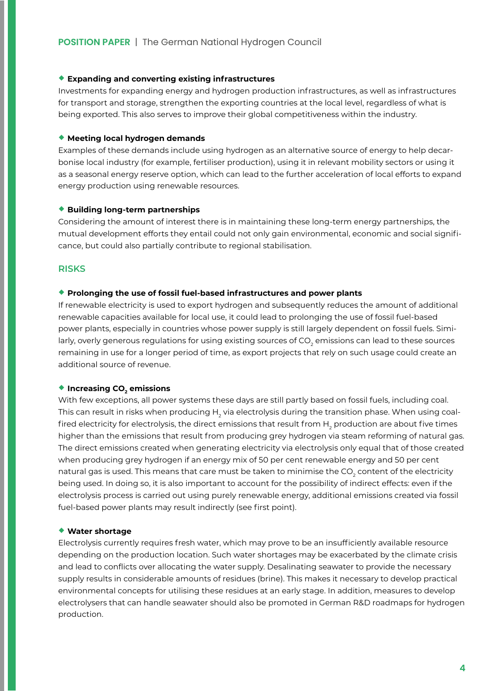#### ¡ **Expanding and converting existing infrastructures**

Investments for expanding energy and hydrogen production infrastructures, as well as infrastructures for transport and storage, strengthen the exporting countries at the local level, regardless of what is being exported. This also serves to improve their global competitiveness within the industry.

#### ¡ **Meeting local hydrogen demands**

Examples of these demands include using hydrogen as an alternative source of energy to help decarbonise local industry (for example, fertiliser production), using it in relevant mobility sectors or using it as a seasonal energy reserve option, which can lead to the further acceleration of local efforts to expand energy production using renewable resources.

#### ¡ **Building long-term partnerships**

Considering the amount of interest there is in maintaining these long-term energy partnerships, the mutual development efforts they entail could not only gain environmental, economic and social significance, but could also partially contribute to regional stabilisation.

#### **RISKS**

#### ¡ **Prolonging the use of fossil fuel-based infrastructures and power plants**

If renewable electricity is used to export hydrogen and subsequently reduces the amount of additional renewable capacities available for local use, it could lead to prolonging the use of fossil fuel-based power plants, especially in countries whose power supply is still largely dependent on fossil fuels. Similarly, overly generous regulations for using existing sources of CO $_{\textrm{\tiny{2}}}$  emissions can lead to these sources remaining in use for a longer period of time, as export projects that rely on such usage could create an additional source of revenue.

#### ◆ Increasing CO<sub>2</sub> emissions

With few exceptions, all power systems these days are still partly based on fossil fuels, including coal. This can result in risks when producing H<sub>2</sub> via electrolysis during the transition phase. When using coalfired electricity for electrolysis, the direct emissions that result from  $\mathsf{H}_2$  production are about five times higher than the emissions that result from producing grey hydrogen via steam reforming of natural gas. The direct emissions created when generating electricity via electrolysis only equal that of those created when producing grey hydrogen if an energy mix of 50 per cent renewable energy and 50 per cent natural gas is used. This means that care must be taken to minimise the CO $_{\textrm{\tiny{2}}}$  content of the electricity being used. In doing so, it is also important to account for the possibility of indirect effects: even if the electrolysis process is carried out using purely renewable energy, additional emissions created via fossil fuel-based power plants may result indirectly (see first point).

#### ¡ **Water shortage**

Electrolysis currently requires fresh water, which may prove to be an insufficiently available resource depending on the production location. Such water shortages may be exacerbated by the climate crisis and lead to conflicts over allocating the water supply. Desalinating seawater to provide the necessary supply results in considerable amounts of residues (brine). This makes it necessary to develop practical environmental concepts for utilising these residues at an early stage. In addition, measures to develop electrolysers that can handle seawater should also be promoted in German R&D roadmaps for hydrogen production.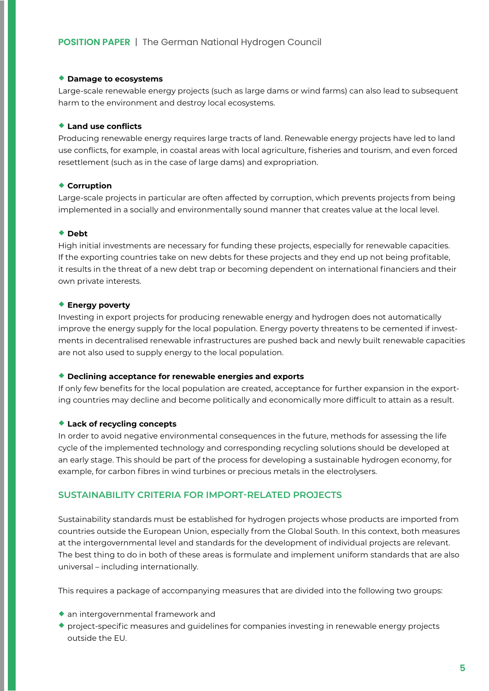#### ¡ **Damage to ecosystems**

Large-scale renewable energy projects (such as large dams or wind farms) can also lead to subsequent harm to the environment and destroy local ecosystems.

#### ¡ **Land use conflicts**

Producing renewable energy requires large tracts of land. Renewable energy projects have led to land use conflicts, for example, in coastal areas with local agriculture, fisheries and tourism, and even forced resettlement (such as in the case of large dams) and expropriation.

#### ¡ **Corruption**

Large-scale projects in particular are often affected by corruption, which prevents projects from being implemented in a socially and environmentally sound manner that creates value at the local level.

#### ◆ **Debt**

High initial investments are necessary for funding these projects, especially for renewable capacities. If the exporting countries take on new debts for these projects and they end up not being profitable, it results in the threat of a new debt trap or becoming dependent on international financiers and their own private interests.

#### ¡ **Energy poverty**

Investing in export projects for producing renewable energy and hydrogen does not automatically improve the energy supply for the local population. Energy poverty threatens to be cemented if investments in decentralised renewable infrastructures are pushed back and newly built renewable capacities are not also used to supply energy to the local population.

#### ¡ **Declining acceptance for renewable energies and exports**

If only few benefits for the local population are created, acceptance for further expansion in the exporting countries may decline and become politically and economically more difficult to attain as a result.

### ¡ **Lack of recycling concepts**

In order to avoid negative environmental consequences in the future, methods for assessing the life cycle of the implemented technology and corresponding recycling solutions should be developed at an early stage. This should be part of the process for developing a sustainable hydrogen economy, for example, for carbon fibres in wind turbines or precious metals in the electrolysers.

#### **SUSTAINABILITY CRITERIA FOR IMPORT-RELATED PROJECTS**

Sustainability standards must be established for hydrogen projects whose products are imported from countries outside the European Union, especially from the Global South. In this context, both measures at the intergovernmental level and standards for the development of individual projects are relevant. The best thing to do in both of these areas is formulate and implement uniform standards that are also universal – including internationally.

This requires a package of accompanying measures that are divided into the following two groups:

- $\bullet$  an intergovernmental framework and
- $\bullet$  project-specific measures and quidelines for companies investing in renewable energy projects outside the EU.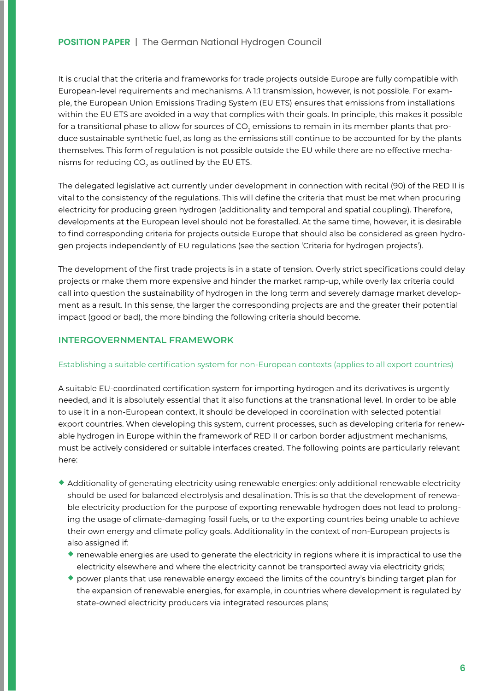It is crucial that the criteria and frameworks for trade projects outside Europe are fully compatible with European-level requirements and mechanisms. A 1:1 transmission, however, is not possible. For example, the European Union Emissions Trading System (EU ETS) ensures that emissions from installations within the EU ETS are avoided in a way that complies with their goals. In principle, this makes it possible for a transitional phase to allow for sources of CO<sub>2</sub> emissions to remain in its member plants that produce sustainable synthetic fuel, as long as the emissions still continue to be accounted for by the plants themselves. This form of regulation is not possible outside the EU while there are no effective mechanisms for reducing CO $_{\rm 2}$  as outlined by the EU ETS.

The delegated legislative act currently under development in connection with recital (90) of the RED II is vital to the consistency of the regulations. This will define the criteria that must be met when procuring electricity for producing green hydrogen (additionality and temporal and spatial coupling). Therefore, developments at the European level should not be forestalled. At the same time, however, it is desirable to find corresponding criteria for projects outside Europe that should also be considered as green hydrogen projects independently of EU regulations (see the section 'Criteria for hydrogen projects').

The development of the first trade projects is in a state of tension. Overly strict specifications could delay projects or make them more expensive and hinder the market ramp-up, while overly lax criteria could call into question the sustainability of hydrogen in the long term and severely damage market development as a result. In this sense, the larger the corresponding projects are and the greater their potential impact (good or bad), the more binding the following criteria should become.

# **INTERGOVERNMENTAL FRAMEWORK**

#### Establishing a suitable certification system for non-European contexts (applies to all export countries)

A suitable EU-coordinated certification system for importing hydrogen and its derivatives is urgently needed, and it is absolutely essential that it also functions at the transnational level. In order to be able to use it in a non-European context, it should be developed in coordination with selected potential export countries. When developing this system, current processes, such as developing criteria for renewable hydrogen in Europe within the framework of RED II or carbon border adjustment mechanisms, must be actively considered or suitable interfaces created. The following points are particularly relevant here:

- $\bullet$  Additionality of generating electricity using renewable energies: only additional renewable electricity should be used for balanced electrolysis and desalination. This is so that the development of renewable electricity production for the purpose of exporting renewable hydrogen does not lead to prolonging the usage of climate-damaging fossil fuels, or to the exporting countries being unable to achieve their own energy and climate policy goals. Additionality in the context of non-European projects is also assigned if:
	- $\bullet$  renewable energies are used to generate the electricity in regions where it is impractical to use the electricity elsewhere and where the electricity cannot be transported away via electricity grids;
	- ¡ power plants that use renewable energy exceed the limits of the country's binding target plan for the expansion of renewable energies, for example, in countries where development is regulated by state-owned electricity producers via integrated resources plans;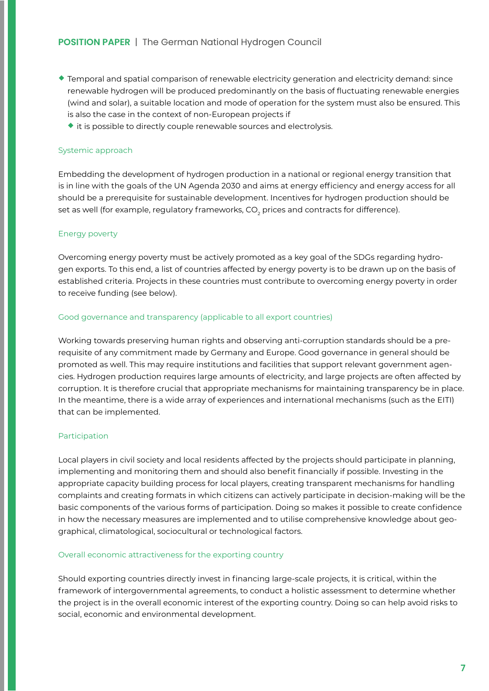# **POSITION PAPER** | The German National Hydrogen Council

- ¡ Temporal and spatial comparison of renewable electricity generation and electricity demand: since renewable hydrogen will be produced predominantly on the basis of fluctuating renewable energies (wind and solar), a suitable location and mode of operation for the system must also be ensured. This is also the case in the context of non-European projects if
	- $\bullet$  it is possible to directly couple renewable sources and electrolysis.

#### Systemic approach

Embedding the development of hydrogen production in a national or regional energy transition that is in line with the goals of the UN Agenda 2030 and aims at energy efficiency and energy access for all should be a prerequisite for sustainable development. Incentives for hydrogen production should be set as well (for example, regulatory frameworks, CO $_{_2}$  prices and contracts for difference).

#### Energy poverty

Overcoming energy poverty must be actively promoted as a key goal of the SDGs regarding hydrogen exports. To this end, a list of countries affected by energy poverty is to be drawn up on the basis of established criteria. Projects in these countries must contribute to overcoming energy poverty in order to receive funding (see below).

#### Good governance and transparency (applicable to all export countries)

Working towards preserving human rights and observing anti-corruption standards should be a prerequisite of any commitment made by Germany and Europe. Good governance in general should be promoted as well. This may require institutions and facilities that support relevant government agencies. Hydrogen production requires large amounts of electricity, and large projects are often affected by corruption. It is therefore crucial that appropriate mechanisms for maintaining transparency be in place. In the meantime, there is a wide array of experiences and international mechanisms (such as the EITI) that can be implemented.

#### Participation

Local players in civil society and local residents affected by the projects should participate in planning, implementing and monitoring them and should also benefit financially if possible. Investing in the appropriate capacity building process for local players, creating transparent mechanisms for handling complaints and creating formats in which citizens can actively participate in decision-making will be the basic components of the various forms of participation. Doing so makes it possible to create confidence in how the necessary measures are implemented and to utilise comprehensive knowledge about geographical, climatological, sociocultural or technological factors.

#### Overall economic attractiveness for the exporting country

Should exporting countries directly invest in financing large-scale projects, it is critical, within the framework of intergovernmental agreements, to conduct a holistic assessment to determine whether the project is in the overall economic interest of the exporting country. Doing so can help avoid risks to social, economic and environmental development.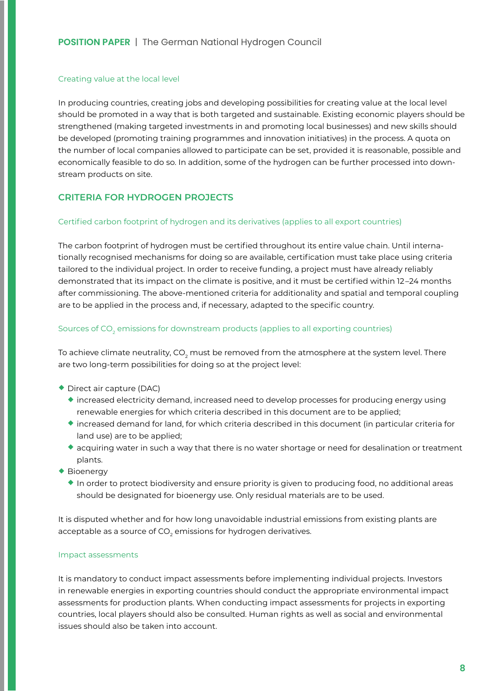#### Creating value at the local level

In producing countries, creating jobs and developing possibilities for creating value at the local level should be promoted in a way that is both targeted and sustainable. Existing economic players should be strengthened (making targeted investments in and promoting local businesses) and new skills should be developed (promoting training programmes and innovation initiatives) in the process. A quota on the number of local companies allowed to participate can be set, provided it is reasonable, possible and economically feasible to do so. In addition, some of the hydrogen can be further processed into downstream products on site.

# **CRITERIA FOR HYDROGEN PROJECTS**

#### Certified carbon footprint of hydrogen and its derivatives (applies to all export countries)

The carbon footprint of hydrogen must be certified throughout its entire value chain. Until internationally recognised mechanisms for doing so are available, certification must take place using criteria tailored to the individual project. In order to receive funding, a project must have already reliably demonstrated that its impact on the climate is positive, and it must be certified within 12 –24 months after commissioning. The above-mentioned criteria for additionality and spatial and temporal coupling are to be applied in the process and, if necessary, adapted to the specific country.

# Sources of CO $_{\textrm{\tiny{2}}}$  emissions for downstream products (applies to all exporting countries)

To achieve climate neutrality, CO<sub>2</sub> must be removed from the atmosphere at the system level. There are two long-term possibilities for doing so at the project level:

- ¡ Direct air capture (DAC)
	- $\bullet$  increased electricity demand, increased need to develop processes for producing energy using renewable energies for which criteria described in this document are to be applied;
	- ¡ increased demand for land, for which criteria described in this document (in particular criteria for land use) are to be applied;
	- acquiring water in such a way that there is no water shortage or need for desalination or treatment plants.
- ◆ Bioenergy
	- ¡ In order to protect biodiversity and ensure priority is given to producing food, no additional areas should be designated for bioenergy use. Only residual materials are to be used.

It is disputed whether and for how long unavoidable industrial emissions from existing plants are acceptable as a source of CO $_{\textrm{\tiny{2}}}$  emissions for hydrogen derivatives.

#### Impact assessments

It is mandatory to conduct impact assessments before implementing individual projects. Investors in renewable energies in exporting countries should conduct the appropriate environmental impact assessments for production plants. When conducting impact assessments for projects in exporting countries, local players should also be consulted. Human rights as well as social and environmental issues should also be taken into account.